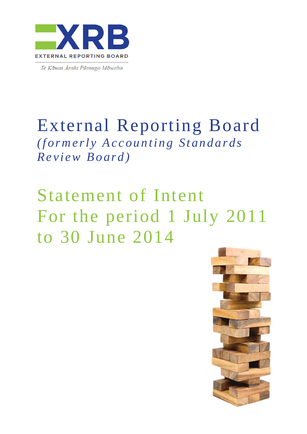

Te Kāwai Ārahi Pūrongo Mōwaho

## External Reporting Board *(formerly Accounting Standards Review Board)*

# Statement of Intent For the period 1 July 2011 to 30 June 2014

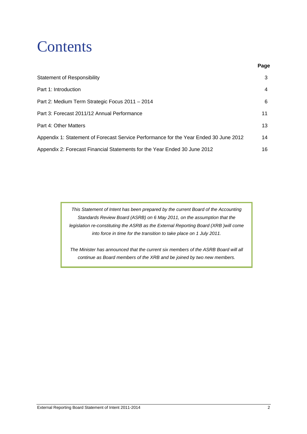## **Contents**

| <b>Statement of Responsibility</b>                                                    | 3  |
|---------------------------------------------------------------------------------------|----|
| Part 1: Introduction                                                                  | 4  |
| Part 2: Medium Term Strategic Focus 2011 - 2014                                       | 6  |
| Part 3: Forecast 2011/12 Annual Performance                                           | 11 |
| Part 4: Other Matters                                                                 | 13 |
| Appendix 1: Statement of Forecast Service Performance for the Year Ended 30 June 2012 | 14 |
| Appendix 2: Forecast Financial Statements for the Year Ended 30 June 2012             | 16 |

*This Statement of Intent has been prepared by the current Board of the Accounting Standards Review Board (ASRB) on 6 May 2011, on the assumption that the legislation re-constituting the ASRB as the External Reporting Board (XRB )will come into force in time for the transition to take place on 1 July 2011.* 

*The Minister has announced that the current six members of the ASRB Board will all continue as Board members of the XRB and be joined by two new members.* 

**Page**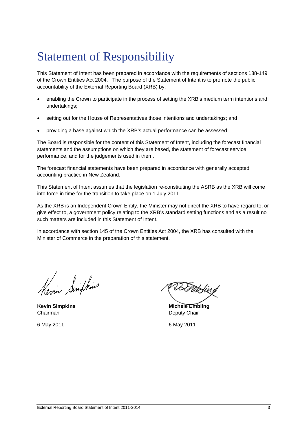## Statement of Responsibility

This Statement of Intent has been prepared in accordance with the requirements of sections 138-149 of the Crown Entities Act 2004. The purpose of the Statement of Intent is to promote the public accountability of the External Reporting Board (XRB) by:

- enabling the Crown to participate in the process of setting the XRB's medium term intentions and undertakings;
- setting out for the House of Representatives those intentions and undertakings; and
- providing a base against which the XRB's actual performance can be assessed.

The Board is responsible for the content of this Statement of Intent, including the forecast financial statements and the assumptions on which they are based, the statement of forecast service performance, and for the judgements used in them.

The forecast financial statements have been prepared in accordance with generally accepted accounting practice in New Zealand.

This Statement of Intent assumes that the legislation re-constituting the ASRB as the XRB will come into force in time for the transition to take place on 1 July 2011.

As the XRB is an Independent Crown Entity, the Minister may not direct the XRB to have regard to, or give effect to, a government policy relating to the XRB's standard setting functions and as a result no such matters are included in this Statement of Intent.

In accordance with section 145 of the Crown Entities Act 2004, the XRB has consulted with the Minister of Commerce in the preparation of this statement.

Kevin Simplins

Chairman Deputy Chair

t Mbhing

**Kevin Simpkins Michele Embling Average Average Average Average Average Average Average Average Average Average Average Average Average Average Average Average Average Average Average Average Average Average Average Averag** 

6 May 2011 6 May 2011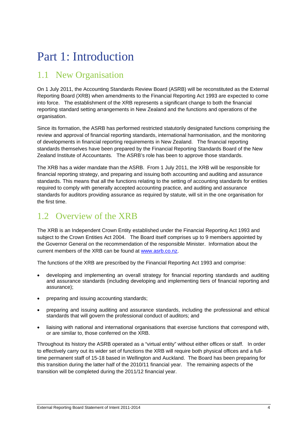## Part 1: Introduction

### 1.1 New Organisation

On 1 July 2011, the Accounting Standards Review Board (ASRB) will be reconstituted as the External Reporting Board (XRB) when amendments to the Financial Reporting Act 1993 are expected to come into force. The establishment of the XRB represents a significant change to both the financial reporting standard setting arrangements in New Zealand and the functions and operations of the organisation.

Since its formation, the ASRB has performed restricted statutorily designated functions comprising the review and approval of financial reporting standards, international harmonisation, and the monitoring of developments in financial reporting requirements in New Zealand. The financial reporting standards themselves have been prepared by the Financial Reporting Standards Board of the New Zealand Institute of Accountants. The ASRB's role has been to approve those standards.

The XRB has a wider mandate than the ASRB. From 1 July 2011, the XRB will be responsible for financial reporting strategy, and preparing and issuing both accounting and auditing and assurance standards. This means that all the functions relating to the setting of accounting standards for entities required to comply with generally accepted accounting practice, and auditing and assurance standards for auditors providing assurance as required by statute, will sit in the one organisation for the first time.

### 1.2 Overview of the XRB

The XRB is an Independent Crown Entity established under the Financial Reporting Act 1993 and subject to the Crown Entities Act 2004. The Board itself comprises up to 9 members appointed by the Governor General on the recommendation of the responsible Minister. Information about the current members of the XRB can be found at www.asrb.co.nz.

The functions of the XRB are prescribed by the Financial Reporting Act 1993 and comprise:

- developing and implementing an overall strategy for financial reporting standards and auditing and assurance standards (including developing and implementing tiers of financial reporting and assurance);
- preparing and issuing accounting standards;
- preparing and issuing auditing and assurance standards, including the professional and ethical standards that will govern the professional conduct of auditors; and
- liaising with national and international organisations that exercise functions that correspond with, or are similar to, those conferred on the XRB.

Throughout its history the ASRB operated as a "virtual entity" without either offices or staff. In order to effectively carry out its wider set of functions the XRB will require both physical offices and a fulltime permanent staff of 15-18 based in Wellington and Auckland. The Board has been preparing for this transition during the latter half of the 2010/11 financial year. The remaining aspects of the transition will be completed during the 2011/12 financial year.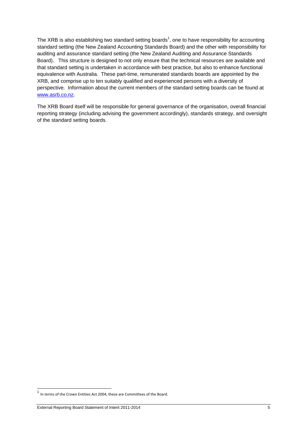The XRB is also establishing two standard setting boards<sup>1</sup>, one to have responsibility for accounting standard setting (the New Zealand Accounting Standards Board) and the other with responsibility for auditing and assurance standard setting (the New Zealand Auditing and Assurance Standards Board). This structure is designed to not only ensure that the technical resources are available and that standard setting is undertaken in accordance with best practice, but also to enhance functional equivalence with Australia. These part-time, remunerated standards boards are appointed by the XRB, and comprise up to ten suitably qualified and experienced persons with a diversity of perspective. Information about the current members of the standard setting boards can be found at www.asrb.co.nz.

The XRB Board itself will be responsible for general governance of the organisation, overall financial reporting strategy (including advising the government accordingly), standards strategy, and oversight of the standard setting boards.

l

<sup>&</sup>lt;sup>1</sup> In terms of the Crown Entities Act 2004, these are Committees of the Board.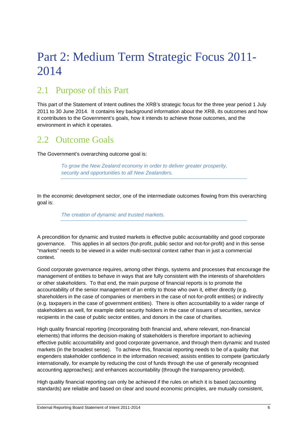## Part 2: Medium Term Strategic Focus 2011- 2014

### 2.1 Purpose of this Part

This part of the Statement of Intent outlines the XRB's strategic focus for the three year period 1 July 2011 to 30 June 2014. It contains key background information about the XRB, its outcomes and how it contributes to the Government's goals, how it intends to achieve those outcomes, and the environment in which it operates.

### 2.2. Outcome Goals

The Government's overarching outcome goal is:

*To grow the New Zealand economy in order to deliver greater prosperity, security and opportunities to all New Zealanders.*

In the economic development sector, one of the intermediate outcomes flowing from this overarching goal is:

*The creation of dynamic and trusted markets.*

A precondition for dynamic and trusted markets is effective public accountability and good corporate governance. This applies in all sectors (for-profit, public sector and not-for-profit) and in this sense "markets" needs to be viewed in a wider multi-sectoral context rather than in just a commercial context.

Good corporate governance requires, among other things, systems and processes that encourage the management of entities to behave in ways that are fully consistent with the interests of shareholders or other stakeholders. To that end, the main purpose of financial reports is to promote the accountability of the senior management of an entity to those who own it, either directly (e.g. shareholders in the case of companies or members in the case of not-for-profit entities) or indirectly (e.g. taxpayers in the case of government entities). There is often accountability to a wider range of stakeholders as well, for example debt security holders in the case of issuers of securities, service recipients in the case of public sector entities, and donors in the case of charities.

High quality financial reporting (incorporating both financial and, where relevant, non-financial elements) that informs the decision-making of stakeholders is therefore important to achieving effective public accountability and good corporate governance, and through them dynamic and trusted markets (in the broadest sense). To achieve this, financial reporting needs to be of a quality that engenders stakeholder confidence in the information received; assists entities to compete (particularly internationally, for example by reducing the cost of funds through the use of generally recognised accounting approaches); and enhances accountability (through the transparency provided).

High quality financial reporting can only be achieved if the rules on which it is based (accounting standards) are reliable and based on clear and sound economic principles, are mutually consistent,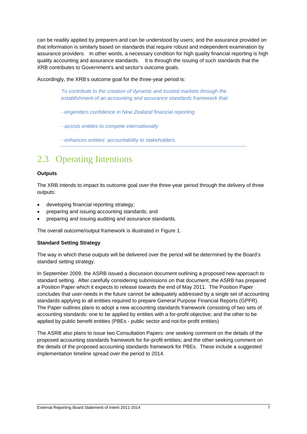can be readily applied by preparers and can be understood by users; and the assurance provided on that information is similarly based on standards that require robust and independent examination by assurance providers. In other words, a necessary condition for high quality financial reporting is high quality accounting and assurance standards. It is through the issuing of such standards that the XRB contributes to Government's and sector's outcome goals.

Accordingly, the XRB's outcome goal for the three-year period is:

*To contribute to the creation of dynamic and trusted markets through the establishment of an accounting and assurance standards framework that:*

- *engenders confidence in New Zealand financial reporting*
- *assists entities to compete internationally*
- *enhances entities' accountability to stakeholders.*

### 2.3 Operating Intentions

#### **Outputs**

The XRB intends to impact its outcome goal over the three-year period through the delivery of three outputs:

- developing financial reporting strategy;
- preparing and issuing accounting standards; and
- preparing and issuing auditing and assurance standards.

The overall outcome/output framework is illustrated in Figure 1.

#### **Standard Setting Strategy**

The way in which these outputs will be delivered over the period will be determined by the Board's standard setting strategy.

In September 2009, the ASRB issued a discussion document outlining a proposed new approach to standard setting. After carefully considering submissions on that document, the ASRB has prepared a Position Paper which it expects to release towards the end of May 2011. The Position Paper concludes that user-needs in the future cannot be adequately addressed by a single set of accounting standards applying to all entities required to prepare General Purpose Financial Reports (GPFR). The Paper outlines plans to adopt a new accounting standards framework consisting of two sets of accounting standards: one to be applied by entities with a for-profit objective; and the other to be applied by public benefit entities (PBEs - public sector and not-for-profit entities)

The ASRB also plans to issue two Consultation Papers: one seeking comment on the details of the proposed accounting standards framework for for-profit entities; and the other seeking comment on the details of the proposed accounting standards framework for PBEs. These include a suggested implementation timeline spread over the period to 2014.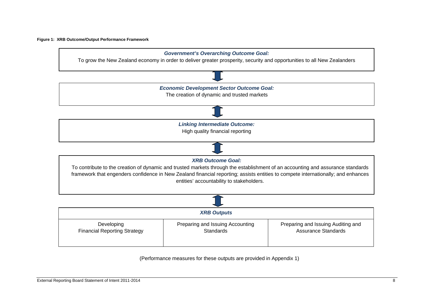#### **Figure 1: XRB Outcome/Output Performance Framework**



(Performance measures for these outputs are provided in Appendix 1)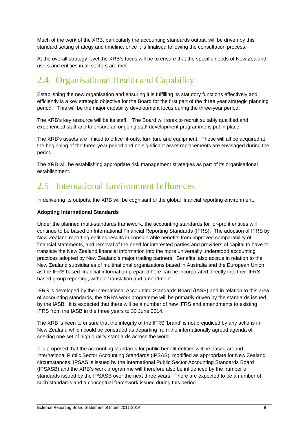Much of the work of the XRB, particularly the accounting standards output, will be driven by this standard setting strategy and timeline, once it is finalised following the consultation process.

At the overall strategy level the XRB's focus will be to ensure that the specific needs of New Zealand users and entities in all sectors are met.

### 2.4 Organisational Health and Capability

Establishing the new organisation and ensuring it is fulfilling its statutory functions effectively and efficiently is a key strategic objective for the Board for the first part of the three year strategic planning period. This will be the major capability development focus during the three-year period.

The XRB's key resource will be its staff. The Board will seek to recruit suitably qualified and experienced staff and to ensure an ongoing staff development programme is put in place.

The XRB's assets are limited to office fit-outs, furniture and equipment. These will all be acquired at the beginning of the three-year period and no significant asset replacements are envisaged during the period.

The XRB will be establishing appropriate risk management strategies as part of its organisational establishment.

### 2.5 International Environment Influences

In delivering its outputs, the XRB will be cognisant of the global financial reporting environment.

#### **Adopting International Standards**

Under the planned multi-standards framework, the accounting standards for for-profit entities will continue to be based on International Financial Reporting Standards (IFRS). The adoption of IFRS by New Zealand reporting entities results in considerable benefits from improved comparability of financial statements, and removal of the need for interested parties and providers of capital to have to translate the New Zealand financial information into the more universally understood accounting practices adopted by New Zealand's major trading partners. Benefits also accrue in relation to the New Zealand subsidiaries of multinational organizations based in Australia and the European Union, as the IFRS based financial information prepared here can be incorporated directly into their IFRS based group reporting, without translation and amendment.

IFRS is developed by the International Accounting Standards Board (IASB) and in relation to this area of accounting standards, the XRB's work programme will be primarily driven by the standards issued by the IASB. It is expected that there will be a number of new IFRS and amendments to existing IFRS from the IASB in the three years to 30 June 2014.

The XRB is keen to ensure that the integrity of the IFRS 'brand' is not prejudiced by any actions in New Zealand which could be construed as departing from the internationally agreed agenda of seeking one set of high quality standards across the world.

It is proposed that the accounting standards for public benefit entities will be based around International Public Sector Accounting Standards (IPSAS), modified as appropriate for New Zealand circumstances. IPSAS is issued by the International Public Sector Accounting Standards Board (IPSASB) and the XRB's work programme will therefore also be influenced by the number of standards issued by the IPSASB over the next three years. There are expected to be a number of such standards and a conceptual framework issued during this period.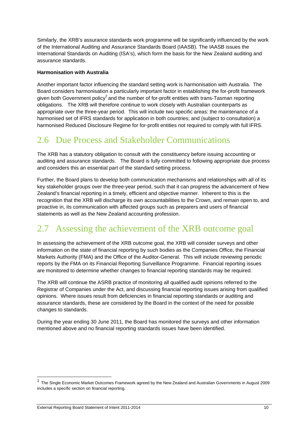Similarly, the XRB's assurance standards work programme will be significantly influenced by the work of the International Auditing and Assurance Standards Board (IAASB). The IAASB issues the International Standards on Auditing (ISA's), which form the basis for the New Zealand auditing and assurance standards.

#### **Harmonisation with Australia**

Another important factor influencing the standard setting work is harmonisation with Australia. The Board considers harmonisation a particularly important factor in establishing the for-profit framework given both Government policy<sup>2</sup> and the number of for-profit entities with trans-Tasman reporting obligations. The XRB will therefore continue to work closely with Australian counterparts as appropriate over the three-year period. This will include two specific areas: the maintenance of a harmonised set of IFRS standards for application in both countries; and (subject to consultation) a harmonised Reduced Disclosure Regime for for-profit entities not required to comply with full IFRS.

### 2.6 Due Process and Stakeholder Communications

The XRB has a statutory obligation to consult with the constituency before issuing accounting or auditing and assurance standards. The Board is fully committed to following appropriate due process and considers this an essential part of the standard setting process.

Further, the Board plans to develop both communication mechanisms and relationships with all of its key stakeholder groups over the three-year period, such that it can progress the advancement of New Zealand's financial reporting in a timely, efficient and objective manner. Inherent to this is the recognition that the XRB will discharge its own accountabilities to the Crown, and remain open to, and proactive in, its communication with affected groups such as preparers and users of financial statements as well as the New Zealand accounting profession.

### 2.7 Assessing the achievement of the XRB outcome goal

In assessing the achievement of the XRB outcome goal, the XRB will consider surveys and other information on the state of financial reporting by such bodies as the Companies Office, the Financial Markets Authority (FMA) and the Office of the Auditor-General. This will include reviewing periodic reports by the FMA on its Financial Reporting Surveillance Programme. Financial reporting issues are monitored to determine whether changes to financial reporting standards may be required.

The XRB will continue the ASRB practice of monitoring all qualified audit opinions referred to the Registrar of Companies under the Act, and discussing financial reporting issues arising from qualified opinions. Where issues result from deficiencies in financial reporting standards or auditing and assurance standards, these are considered by the Board in the context of the need for possible changes to standards.

During the year ending 30 June 2011, the Board has monitored the surveys and other information mentioned above and no financial reporting standards issues have been identified.

l

 $2$  The Single Economic Market Outcomes Framework agreed by the New Zealand and Australian Governments in August 2009 includes a specific section on financial reporting.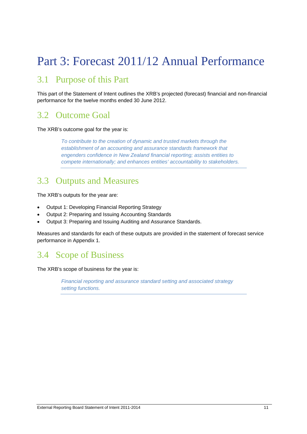## Part 3: Forecast 2011/12 Annual Performance

### 3.1 Purpose of this Part

This part of the Statement of Intent outlines the XRB's projected (forecast) financial and non-financial performance for the twelve months ended 30 June 2012.

### 3.2 Outcome Goal

The XRB's outcome goal for the year is:

*To contribute to the creation of dynamic and trusted markets through the establishment of an accounting and assurance standards framework that engenders confidence in New Zealand financial reporting; assists entities to compete internationally; and enhances entities' accountability to stakeholders.*

### 3.3 Outputs and Measures

The XRB's outputs for the year are:

- Output 1: Developing Financial Reporting Strategy
- Output 2: Preparing and Issuing Accounting Standards
- Output 3: Preparing and Issuing Auditing and Assurance Standards.

Measures and standards for each of these outputs are provided in the statement of forecast service performance in Appendix 1.

### 3.4 Scope of Business

The XRB's scope of business for the year is:

*Financial reporting and assurance standard setting and associated strategy setting functions.*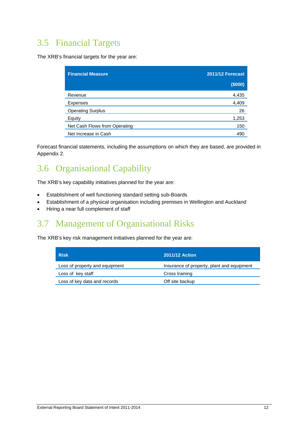### 3.5 Financial Targets

The XRB's financial targets for the year are:

| <b>Financial Measure</b>      | <b>2011/12 Forecast</b> |
|-------------------------------|-------------------------|
|                               | (\$000)                 |
| Revenue                       | 4,435                   |
| <b>Expenses</b>               | 4,409                   |
| <b>Operating Surplus</b>      | 26                      |
| Equity                        | 1,253                   |
| Net Cash Flows from Operating | 150                     |
| Net Increase in Cash          | 490                     |

Forecast financial statements, including the assumptions on which they are based, are provided in Appendix 2.

### 3.6 Organisational Capability

The XRB's key capability initiatives planned for the year are:

- Establishment of well functioning standard setting sub-Boards
- Establishment of a physical organisation including premises in Wellington and Auckland
- Hiring a near full complement of staff

### 3.7 Management of Organisational Risks

The XRB's key risk management initiatives planned for the year are:

| <b>Risk</b>                    | <b>2011/12 Action</b>                      |
|--------------------------------|--------------------------------------------|
| Loss of property and equipment | Insurance of property, plant and equipment |
| Loss of key staff              | Cross training                             |
| Loss of key data and records   | Off site backup                            |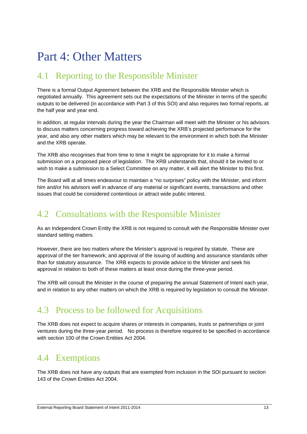## Part 4: Other Matters

### 4.1 Reporting to the Responsible Minister

There is a formal Output Agreement between the XRB and the Responsible Minister which is negotiated annually. This agreement sets out the expectations of the Minister in terms of the specific outputs to be delivered (in accordance with Part 3 of this SOI) and also requires two formal reports, at the half year and year end.

In addition, at regular intervals during the year the Chairman will meet with the Minister or his advisors to discuss matters concerning progress toward achieving the XRB's projected performance for the year, and also any other matters which may be relevant to the environment in which both the Minister and the XRB operate.

The XRB also recognises that from time to time it might be appropriate for it to make a formal submission on a proposed piece of legislation. The XRB understands that, should it be invited to or wish to make a submission to a Select Committee on any matter, it will alert the Minister to this first.

The Board will at all times endeavour to maintain a "no surprises" policy with the Minister, and inform him and/or his advisors well in advance of any material or significant events, transactions and other issues that could be considered contentious or attract wide public interest.

### 4.2 Consultations with the Responsible Minister

As an Independent Crown Entity the XRB is not required to consult with the Responsible Minister over standard setting matters.

However, there are two matters where the Minister's approval is required by statute. These are approval of the tier framework; and approval of the issuing of auditing and assurance standards other than for statutory assurance. The XRB expects to provide advice to the Minister and seek his approval in relation to both of these matters at least once during the three-year period.

The XRB will consult the Minister in the course of preparing the annual Statement of Intent each year, and in relation to any other matters on which the XRB is required by legislation to consult the Minister.

### 4.3 Process to be followed for Acquisitions

The XRB does not expect to acquire shares or interests in companies, trusts or partnerships or joint ventures during the three-year period. No process is therefore required to be specified in accordance with section 100 of the Crown Entities Act 2004.

### 4.4 Exemptions

The XRB does not have any outputs that are exempted from inclusion in the SOI pursuant to section 143 of the Crown Entities Act 2004.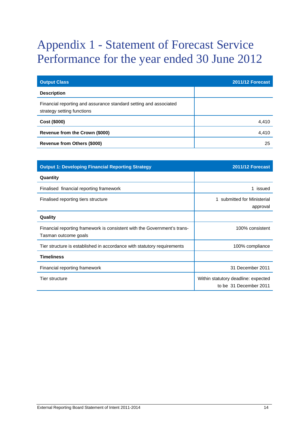## Appendix 1 - Statement of Forecast Service Performance for the year ended 30 June 2012

| <b>Output Class</b>                                                                             | <b>2011/12 Forecast</b> |
|-------------------------------------------------------------------------------------------------|-------------------------|
| <b>Description</b>                                                                              |                         |
| Financial reporting and assurance standard setting and associated<br>strategy setting functions |                         |
| Cost (\$000)                                                                                    | 4,410                   |
| Revenue from the Crown (\$000)                                                                  | 4.410                   |
| <b>Revenue from Others (\$000)</b>                                                              | 25                      |

| <b>Output 1: Developing Financial Reporting Strategy</b>                                         | <b>2011/12 Forecast</b>                                       |
|--------------------------------------------------------------------------------------------------|---------------------------------------------------------------|
| Quantity                                                                                         |                                                               |
| Finalised financial reporting framework                                                          | 1 issued                                                      |
| Finalised reporting tiers structure                                                              | submitted for Ministerial<br>approval                         |
| Quality                                                                                          |                                                               |
| Financial reporting framework is consistent with the Government's trans-<br>Tasman outcome goals | 100% consistent                                               |
| Tier structure is established in accordance with statutory requirements                          | 100% compliance                                               |
| <b>Timeliness</b>                                                                                |                                                               |
| Financial reporting framework                                                                    | 31 December 2011                                              |
| Tier structure                                                                                   | Within statutory deadline: expected<br>to be 31 December 2011 |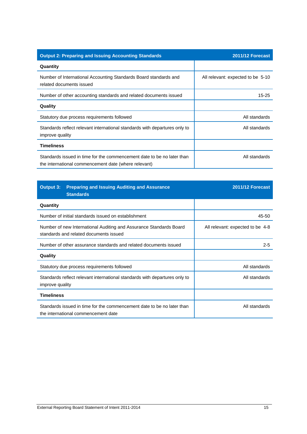| <b>Output 2: Preparing and Issuing Accounting Standards</b>                                                                    | <b>2011/12 Forecast</b>           |
|--------------------------------------------------------------------------------------------------------------------------------|-----------------------------------|
| Quantity                                                                                                                       |                                   |
| Number of International Accounting Standards Board standards and<br>related documents issued                                   | All relevant: expected to be 5-10 |
| Number of other accounting standards and related documents issued                                                              | 15-25                             |
| Quality                                                                                                                        |                                   |
| Statutory due process requirements followed                                                                                    | All standards                     |
| Standards reflect relevant international standards with departures only to<br>improve quality                                  | All standards                     |
| <b>Timeliness</b>                                                                                                              |                                   |
| Standards issued in time for the commencement date to be no later than<br>the international commencement date (where relevant) | All standards                     |

| <b>Output 3:</b><br><b>Standards</b>                             | <b>Preparing and Issuing Auditing and Assurance</b>                        | 2011/12 Forecast                 |
|------------------------------------------------------------------|----------------------------------------------------------------------------|----------------------------------|
| Quantity                                                         |                                                                            |                                  |
| Number of initial standards issued on establishment              |                                                                            | 45-50                            |
| standards and related documents issued                           | Number of new International Auditing and Assurance Standards Board         | All relevant: expected to be 4-8 |
| Number of other assurance standards and related documents issued |                                                                            | $2 - 5$                          |
| Quality                                                          |                                                                            |                                  |
| Statutory due process requirements followed                      |                                                                            | All standards                    |
| improve quality                                                  | Standards reflect relevant international standards with departures only to | All standards                    |
| <b>Timeliness</b>                                                |                                                                            |                                  |
| the international commencement date                              | Standards issued in time for the commencement date to be no later than     | All standards                    |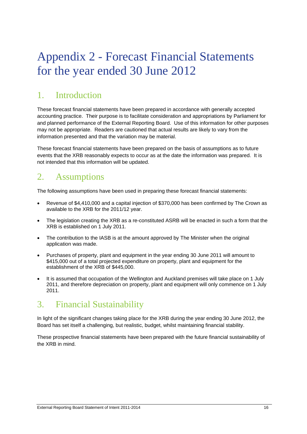## Appendix 2 - Forecast Financial Statements for the year ended 30 June 2012

### 1. Introduction

These forecast financial statements have been prepared in accordance with generally accepted accounting practice. Their purpose is to facilitate consideration and appropriations by Parliament for and planned performance of the External Reporting Board. Use of this information for other purposes may not be appropriate. Readers are cautioned that actual results are likely to vary from the information presented and that the variation may be material.

These forecast financial statements have been prepared on the basis of assumptions as to future events that the XRB reasonably expects to occur as at the date the information was prepared. It is not intended that this information will be updated.

### 2. Assumptions

The following assumptions have been used in preparing these forecast financial statements:

- Revenue of \$4,410,000 and a capital injection of \$370,000 has been confirmed by The Crown as available to the XRB for the 2011/12 year.
- The legislation creating the XRB as a re-constituted ASRB will be enacted in such a form that the XRB is established on 1 July 2011.
- The contribution to the IASB is at the amount approved by The Minister when the original application was made.
- Purchases of property, plant and equipment in the year ending 30 June 2011 will amount to \$415,000 out of a total projected expenditure on property, plant and equipment for the establishment of the XRB of \$445,000.
- It is assumed that occupation of the Wellington and Auckland premises will take place on 1 July 2011, and therefore depreciation on property, plant and equipment will only commence on 1 July 2011.

### 3. Financial Sustainability

In light of the significant changes taking place for the XRB during the year ending 30 June 2012, the Board has set itself a challenging, but realistic, budget, whilst maintaining financial stability.

These prospective financial statements have been prepared with the future financial sustainability of the XRB in mind.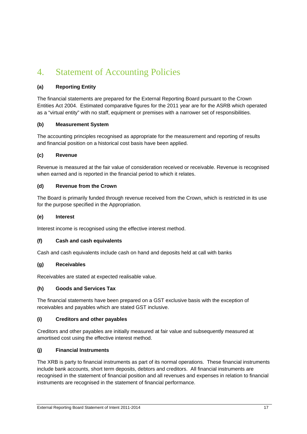### 4. Statement of Accounting Policies

#### **(a) Reporting Entity**

The financial statements are prepared for the External Reporting Board pursuant to the Crown Entities Act 2004. Estimated comparative figures for the 2011 year are for the ASRB which operated as a "virtual entity" with no staff, equipment or premises with a narrower set of responsibilities.

#### **(b) Measurement System**

The accounting principles recognised as appropriate for the measurement and reporting of results and financial position on a historical cost basis have been applied.

#### **(c) Revenue**

Revenue is measured at the fair value of consideration received or receivable. Revenue is recognised when earned and is reported in the financial period to which it relates.

#### **(d) Revenue from the Crown**

The Board is primarily funded through revenue received from the Crown, which is restricted in its use for the purpose specified in the Appropriation.

#### **(e) Interest**

Interest income is recognised using the effective interest method.

#### **(f) Cash and cash equivalents**

Cash and cash equivalents include cash on hand and deposits held at call with banks

#### **(g) Receivables**

Receivables are stated at expected realisable value.

#### **(h) Goods and Services Tax**

The financial statements have been prepared on a GST exclusive basis with the exception of receivables and payables which are stated GST inclusive.

#### **(i) Creditors and other payables**

Creditors and other payables are initially measured at fair value and subsequently measured at amortised cost using the effective interest method.

#### **(j) Financial Instruments**

The XRB is party to financial instruments as part of its normal operations. These financial instruments include bank accounts, short term deposits, debtors and creditors. All financial instruments are recognised in the statement of financial position and all revenues and expenses in relation to financial instruments are recognised in the statement of financial performance.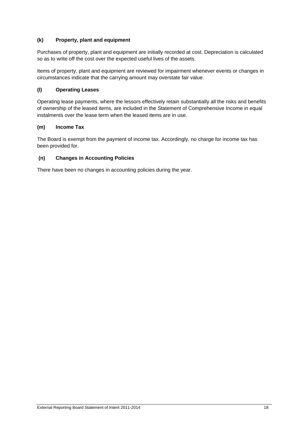#### **(k) Property, plant and equipment**

Purchases of property, plant and equipment are initially recorded at cost. Depreciation is calculated so as to write off the cost over the expected useful lives of the assets.

Items of property, plant and equipment are reviewed for impairment whenever events or changes in circumstances indicate that the carrying amount may overstate fair value.

#### **(l) Operating Leases**

Operating lease payments, where the lessors effectively retain substantially all the risks and benefits of ownership of the leased items, are included in the Statement of Comprehensive Income in equal instalments over the lease term when the leased items are in use.

#### **(m) Income Tax**

The Board is exempt from the payment of income tax. Accordingly, no charge for income tax has been provided for.

#### **(n) Changes in Accounting Policies**

There have been no changes in accounting policies during the year.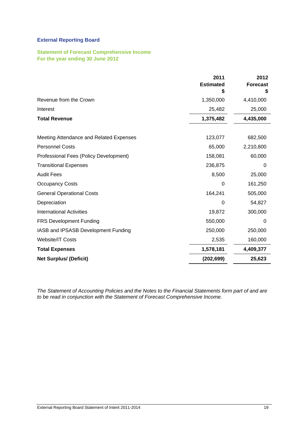### **External Reporting Board**

#### **Statement of Forecast Comprehensive Income For the year ending 30 June 2012**

|                                         | 2011<br><b>Estimated</b><br>S | 2012<br><b>Forecast</b> |
|-----------------------------------------|-------------------------------|-------------------------|
| Revenue from the Crown                  | 1,350,000                     | 4,410,000               |
| Interest                                | 25,482                        | 25,000                  |
| <b>Total Revenue</b>                    | 1,375,482                     | 4,435,000               |
| Meeting Attendance and Related Expenses | 123,077                       | 682,500                 |
| <b>Personnel Costs</b>                  | 65,000                        | 2,210,800               |
| Professional Fees (Policy Development)  | 158,081                       | 60,000                  |
| <b>Transitional Expenses</b>            | 236,875                       | 0                       |
| <b>Audit Fees</b>                       | 8,500                         | 25,000                  |
| <b>Occupancy Costs</b>                  | 0                             | 161,250                 |
| <b>General Operational Costs</b>        | 164,241                       | 505,000                 |
| Depreciation                            | 0                             | 54,827                  |
| <b>International Activities</b>         | 19,872                        | 300,000                 |
| <b>FRS Development Funding</b>          | 550,000                       | 0                       |
| IASB and IPSASB Development Funding     | 250,000                       | 250,000                 |
| <b>Website/IT Costs</b>                 | 2,535                         | 160,000                 |
| <b>Total Expenses</b>                   | 1,578,181                     | 4,409,377               |
| <b>Net Surplus/ (Deficit)</b>           | (202, 699)                    | 25,623                  |

*The Statement of Accounting Policies and the Notes to the Financial Statements form part of and are to be read in conjunction with the Statement of Forecast Comprehensive Income.*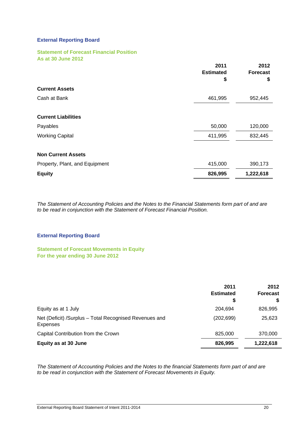#### **External Reporting Board**

#### **Statement of Forecast Financial Position As at 30 June 2012**

|                                | 2011<br><b>Estimated</b><br>\$ | 2012<br><b>Forecast</b><br>\$ |
|--------------------------------|--------------------------------|-------------------------------|
| <b>Current Assets</b>          |                                |                               |
| Cash at Bank                   | 461,995                        | 952,445                       |
| <b>Current Liabilities</b>     |                                |                               |
| Payables                       | 50,000                         | 120,000                       |
| <b>Working Capital</b>         | 411,995                        | 832,445                       |
| <b>Non Current Assets</b>      |                                |                               |
| Property, Plant, and Equipment | 415,000                        | 390,173                       |
| <b>Equity</b>                  | 826,995                        | 1,222,618                     |

*The Statement of Accounting Policies and the Notes to the Financial Statements form part of and are to be read in conjunction with the Statement of Forecast Financial Position.* 

#### **External Reporting Board**

**Statement of Forecast Movements in Equity For the year ending 30 June 2012** 

|                                                                           | 2011<br><b>Estimated</b><br>\$ | 2012<br><b>Forecast</b> |
|---------------------------------------------------------------------------|--------------------------------|-------------------------|
| Equity as at 1 July                                                       | 204.694                        | 826,995                 |
| Net (Deficit) /Surplus - Total Recognised Revenues and<br><b>Expenses</b> | (202, 699)                     | 25,623                  |
| Capital Contribution from the Crown                                       | 825,000                        | 370,000                 |
| Equity as at 30 June                                                      | 826,995                        | 1,222,618               |

*The Statement of Accounting Policies and the Notes to the financial Statements form part of and are to be read in conjunction with the Statement of Forecast Movements in Equity.*